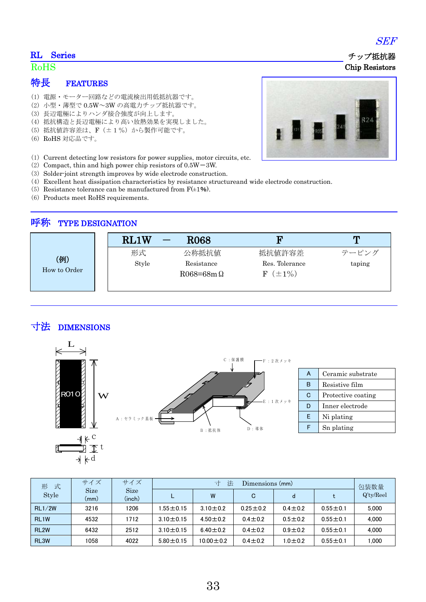#### RL Series

### RoHS

## 特長 FEATURES

- (1) 電源・モーター回路などの電流検出用低抵抗器です。
- (2) 小型・薄型で 0.5W~3W の高電力チップ抵抗器です。
- (3) 長辺電極によりハンダ接合強度が向上します。
- (4) 抵抗構造と長辺電極により高い放熱効果を実現しました。
- (5) 抵抗値許容差は、F(±1%)から製作可能です。
- (6) RoHS 対応品です。
- (1) Current detecting low resistors for power supplies, motor circuits, etc.
- (2) Compact, thin and high power chip resistors of  $0.5W 3W$ .
- (3) Solder-joint strength improves by wide electrode construction.
- (4) Excellent heat dissipation characteristics by resistance structureand wide electrode construction.
- (5) Resistance tolerance can be manufactured from  $F(\pm 1\%)$ .
- (6) Products meet RoHS requirements.

### 呼称 TYPE DESIGNATION

|                     | RL1W  | <b>R068</b>                          | n                               | m      |
|---------------------|-------|--------------------------------------|---------------------------------|--------|
|                     | 形式    | 公称抵抗值                                | 抵抗値許容差                          | テーピング  |
| (例)<br>How to Order | Style | Resistance<br>$R068 = 68$ m $\Omega$ | Res. Tolerance<br>$F (\pm 1\%)$ | taping |

# 寸法 DIMENSIONS



| А | Ceramic substrate  |  |
|---|--------------------|--|
| в | Resistive film     |  |
| G | Protective coating |  |
| D | Inner electrode    |  |
| F | Ni plating         |  |
|   | Sn plating         |  |

| 式<br>形            | サイズ                 | サイズ                   | 法<br>寸<br>Dimensions (mm) |                 |                |               | 包装数量           |              |
|-------------------|---------------------|-----------------------|---------------------------|-----------------|----------------|---------------|----------------|--------------|
| Style             | <b>Size</b><br>(mm) | <b>Size</b><br>(inch) |                           | W               | C              | d             |                | $Q'$ ty/Reel |
| RL1/2W            | 3216                | 1206                  | $1.55 \pm 0.15$           | $3.10 + 0.2$    | $0.25 \pm 0.2$ | $0.4 \pm 0.2$ | $0.55 \pm 0.1$ | 5.000        |
| RL <sub>1</sub> W | 4532                | 1712                  | $3.10 + 0.15$             | $4.50 \pm 0.2$  | $0.4 \pm 0.2$  | $0.5 \pm 0.2$ | $0.55 \pm 0.1$ | 4.000        |
| RL <sub>2</sub> W | 6432                | 2512                  | $3.10 \pm 0.15$           | $6.40 \pm 0.2$  | $0.4 \pm 0.2$  | $0.9 \pm 0.2$ | $0.55 \pm 0.1$ | 4.000        |
| RL <sub>3</sub> W | 1058                | 4022                  | $5.80 \pm 0.15$           | $10.00 \pm 0.2$ | $0.4 \pm 0.2$  | $1.0 + 0.2$   | $0.55 \pm 0.1$ | 1.000        |



SEF